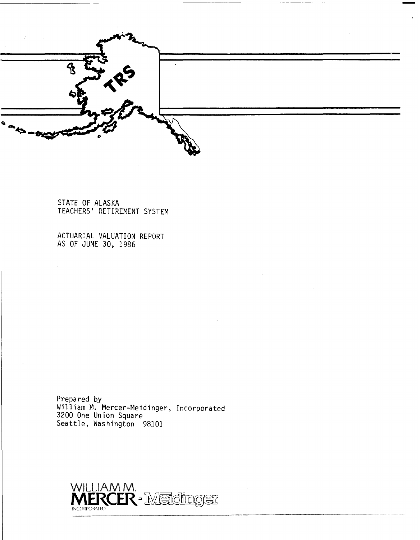

**STATE OF ALASKA TEACHERS' RETIREMENT SYSTEM** 

**ACTUARIAL VALUATION REPORT AS OF JUNE 30, 1986** 

**Prepared by William M. Mercer-Meidinger, Incorporated 3200 One Union Square Seattle, Washington 98101** 

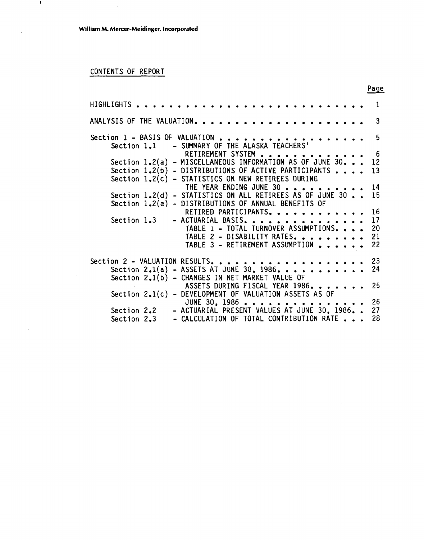# CONTENTS OF REPORT

 $\blacksquare$ 

 $\ddot{\phantom{a}}$ 

|                                  |                                                                                                                                                                              |  |                                          |  |                                                                                                                                |  |              |  |                      |  |  |  | Page                       |
|----------------------------------|------------------------------------------------------------------------------------------------------------------------------------------------------------------------------|--|------------------------------------------|--|--------------------------------------------------------------------------------------------------------------------------------|--|--------------|--|----------------------|--|--|--|----------------------------|
| HIGHLIGHTS .                     |                                                                                                                                                                              |  |                                          |  |                                                                                                                                |  | . <b>.</b> . |  |                      |  |  |  | 1                          |
|                                  |                                                                                                                                                                              |  |                                          |  |                                                                                                                                |  |              |  |                      |  |  |  | 3                          |
| Section $1$ - BASIS OF VALUATION | Section 1.1 - SUMMARY OF THE ALASKA TEACHERS'                                                                                                                                |  |                                          |  |                                                                                                                                |  |              |  |                      |  |  |  | 5                          |
|                                  | Section $1.2(a)$ - MISCELLANEOUS INFORMATION AS OF JUNE 30.<br>Section $1.2(b)$ - DISTRIBUTIONS OF ACTIVE PARTICIPANTS                                                       |  |                                          |  | RETIREMENT SYSTEM                                                                                                              |  |              |  |                      |  |  |  | 6<br>12<br>13              |
|                                  | Section $1.2(c)$ - STATISTICS ON NEW RETIREES DURING<br>Section 1.2(d) - STATISTICS ON ALL RETIREES AS OF JUNE 30 15<br>Section 1.2(e) - DISTRIBUTIONS OF ANNUAL BENEFITS OF |  |                                          |  | THE YEAR ENDING JUNE 30                                                                                                        |  |              |  |                      |  |  |  | 14                         |
|                                  | Section $1.3$                                                                                                                                                                |  | - ACTUARIAL BASIS.                       |  | RETIRED PARTICIPANTS.<br>TABLE 1 - TOTAL TURNOVER ASSUMPTIONS<br>TABLE 2 - DISABILITY RATES<br>TABLE 3 - RETIREMENT ASSUMPTION |  |              |  | <u>a a a a a a a</u> |  |  |  | 16<br>17<br>20<br>21<br>22 |
| Section 2 - VALUATION RESULTS.   | Section 2.1(a) - ASSETS AT JUNE 30, 1986.<br>Section 2.1(b) - CHANGES IN NET MARKET VALUE OF                                                                                 |  |                                          |  |                                                                                                                                |  |              |  |                      |  |  |  | 23<br>24                   |
|                                  | Section 2.1(c) - DEVELOPMENT OF VALUATION ASSETS AS OF<br>Section 2.2 - ACTUARIAL PRESENT VALUES AT JUNE 30, 1986                                                            |  |                                          |  | ASSETS DURING FISCAL YEAR 1986.<br>JUNE 30, 1986                                                                               |  |              |  |                      |  |  |  | 25<br>26<br>27             |
|                                  | Section 2.3                                                                                                                                                                  |  | - CALCULATION OF TOTAL CONTRIBUTION RATE |  |                                                                                                                                |  |              |  |                      |  |  |  | 28                         |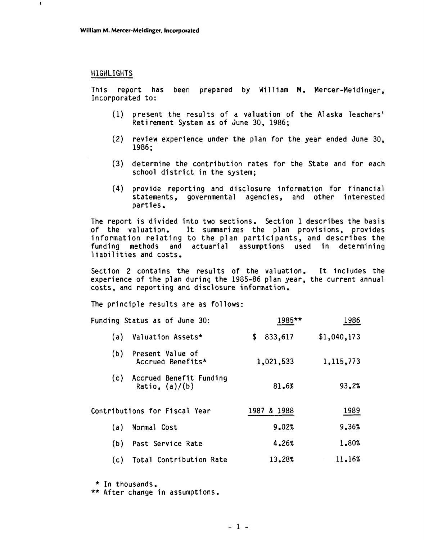#### HIGHLIGHTS

 $\pmb{\mathfrak{t}}$ 

This report has been prepared by William M. Mercer-Meidinger, Incorporated to:

- (1) present the results of a valuation of the Alaska Teachers' Retirement System as of June 30, 1986;
- (2) review experience under the plan for the year ended June 30, 1986;
- (3) determine the contribution rates for the State and for each school district in the system;
- **(4)** provide reporting and disclosure information for financial statements, governmental agencies, and other interested parties.<br>The report is divided into two sections. Section 1 describes the basis

of the valuation. It sumnari zes the plan provisions, provides information relating to the plan participants, and describes the funding methods and actuarial assumptions used in determining liabilities and costs.

Section 2 contains the results of the valuation. It includes the experience of the plan during the 1985-86 plan year, the current annual costs, and reporting and disclosure information.

The principle results are as follows:

| Funding Status as of June 30:                      | 1985**         | 1986        |
|----------------------------------------------------|----------------|-------------|
| Valuation Assets*<br>(a)                           | 833,617<br>\$. | \$1,040,173 |
| (b)<br>Present Value of<br>Accrued Benefits*       | 1,021,533      | 1,115,773   |
| Accrued Benefit Funding<br>(c)<br>Ratio, $(a)/(b)$ | 81.6%          | 93.2%       |
| Contributions for Fiscal Year                      | 1987 & 1988    | 1989        |
| Normal Cost<br>(a)                                 | 9.02%          | 9.36%       |
| Past Service Rate<br>(b)                           | 4.26%          | 1.80%       |
| Total Contribution Rate<br>(c)                     | 13.28%         | 11.16%      |

- \* In thousands.
- \*\* After change in assumptions.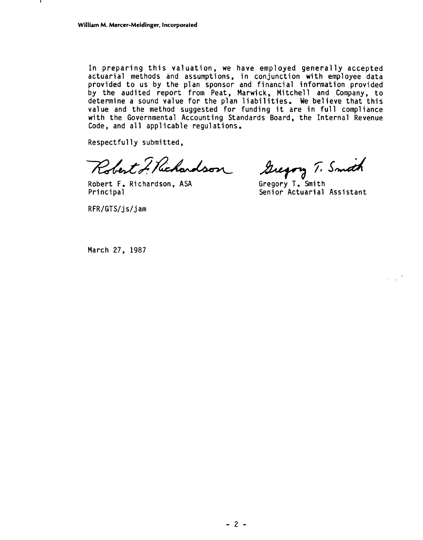In preparing this valuation, we have employed generally accepted actuarial methods and assumptions, in conjunction with employee data provided to us by the plan sponsor and financial information provided by the audited report from Peat, Marwick, Mitchell and Company, to determine a sound value for the plan liabilities. We believe that this value and the method suggested for funding it are in full compliance with the Governmental Accounting Standards Board, the Internal Revenue Code, and all applicable regulations.

Respectfully submitted,

Robert J. Richardson

Robert F, Richardson, ASA Gregory **T,** Smith

Gregory T. Smith

Senior Actuarial Assistant

RFR/GTS/js/jam

March 27, 1987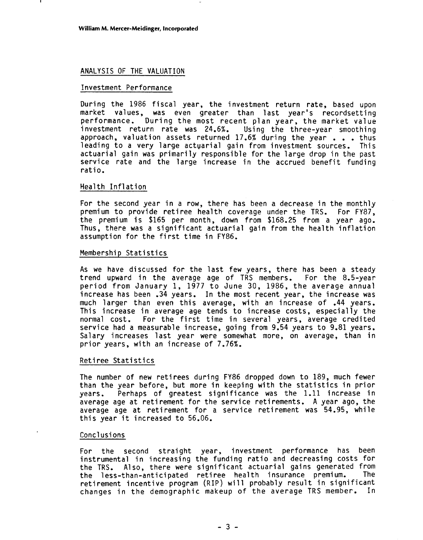#### ANALYSIS OF THE VALUATION

#### Investment Performance

During the 1986 fiscal year, the investment return rate, based upon market values, was even greater than last year's recordsetting performance. During the most recent plan year, the market value<br>investment return rate was 24.6%. Using the three-year smoothing investment return rate was 24.6%. approach, valuation assets returned 17.6% during the year . . . thus leading to a very large actuarial gain from investment sources. This actuarial gain was primarily responsible for the large drop in the past service rate and the large increase in the accrued benefit funding ratio.

#### Health Inflation

For the second year in a row, there has been a decrease in the monthly premium to provide retiree health coverage under the TRS. For FY87, the premium is \$165 per month, down from \$168.25 from a year ago. Thus, there was a significant actuarial gain from the health inflation assumption for the first time in FY86.

#### Membership Statistics

As we have discussed for the last few years, there has been a steady trend upward in the average age of TRS members. For the 8.5-year period from January 1, 1977 to June 30, 1986, the average annual increase has been .34 years. In the most recent year, the increase was much larger than even this average, with an increase of .44 years. This increase in average age tends to increase costs, especially the normal cost. For the first time in several years, average credited service had a measurable increase, going from 9.54 years to 9.81 years. Salary increases last year were somewhat more, on average, than in prior years, with an increase of 7.76%.

#### Retiree Statistics

The number of new retirees during FY86 dropped down to 189, much fewer than the year before, but more in keeping with the statistics in prior years. Perhaps of greatest significance was the 1.11 increase in average age at retirement for the service retirements. A year ago, the average age at retirement for a service retirement was 54.95, while this year it increased to 56.06.

#### Conclusions

For the second straight year, investment performance has been instrumental in increasing the funding ratio and decreasing costs for the TRS. Also, there were significant actuarial gains generated from<br>the less-than-anticipated retiree health insurance premium. The the less-than-anticipated retiree health insurance premium. retirement incentive program (RIP) will probably result in significant changes in the demographic makeup of the average TRS member. In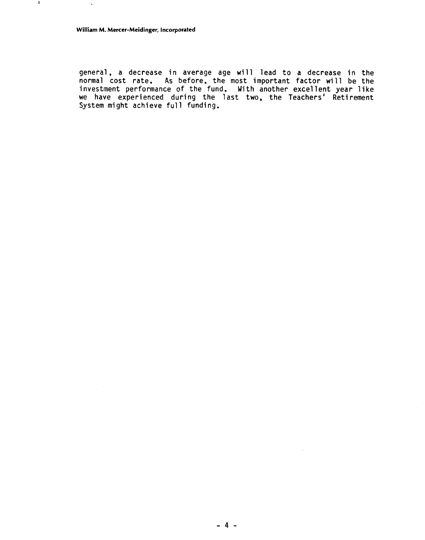general, a decrease in average age will lead to a decrease in the normal cost rate. As before, the most important factor will be the investment performance of the fund. With another excellent year like we have experienced during the last two, the Teachers' Retirement System might achieve full funding.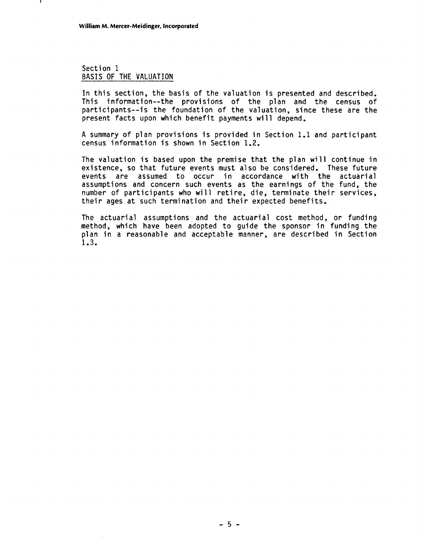#### Section 1 BASIS OF THE VALUATION

In this section, the basis of the valuation is presented and described. This information--the provisions of the plan and the census of participants--is the foundation of the valuation, since these are the present facts upon which benefit payments will depend.

A summary of plan provisions is provided in Section 1.1 and participant census information is shown in Section 1.2.

The valuation is based upon the premise that the plan will continue in existence, so that future events must also be considered. These future events are assumed to occur in accordance with the actuarial assumptions and concern such events as the earnings of the fund, the number of participants who will retire, die, terminate their services, their ages at such termination and their expected benefits.

The actuarial assumptions and the actuarial cost method, or funding method, which have been adopted to guide the sponsor in funding the plan in a reasonable and acceptable manner, are described in Section 1.3.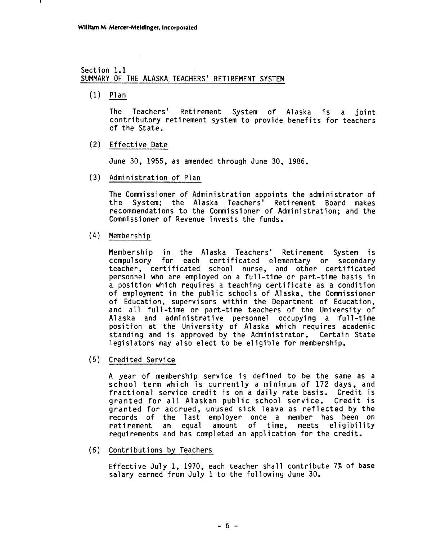#### Section 1.1 SUMMARY OF THE ALASKA TEACHERS' RETIREMENT SYSTEM

 $(1)$  Plan

The Teachers' Retirement System of Alaska is a joint contributory retirement system to provide benefits for teachers of the State.

(2) Effective Date

June 30, 1955, as amended through June 30, 1986.

(3) Administration of Plan

The Commissioner of Administration appoints the administrator of the System; the Alaska Teachers' Retirement Board makes recommendations to the Commissioner of Administration; and the Commissioner of Revenue invests the funds.

(4) Membership

Membership in the A1 aska Teachers' Retirement System is compulsory for each certificated elementary or secondary teacher, certificated school nurse, and other certificated personnel who are employed on a full-time or part-time basis in a position which requires a teaching certificate as a condition of employment in the public schools of Alaska, the Commissioner of Education, supervisors within the Department of Education, and all full-time or part-time teachers of the University of Alaska and administrative personnel occupying a full-time position at the University of Alaska which requires academic standing and is approved by the Administrator. Certain State legislators may also elect to be eligible for membership.

(5) Credited Service

A year of membership service is defined to be the same as a school term which is currently a minimum of 172 days, and fractional service credit is on a daily rate basis. Credit is granted for all Alaskan public school service. Credit is granted for accrued, unused sick leave as reflected by the records of the last employer once a member has been on<br>retirement an equal amount of time. meets eligibility retirement an equal amount of time, meets requirements and has completed an application for the credit.

(6) Contributions by Teachers

Effective July 1, 1970, each teacher shall contribute 7% of base salary earned from July 1 to the following June 30.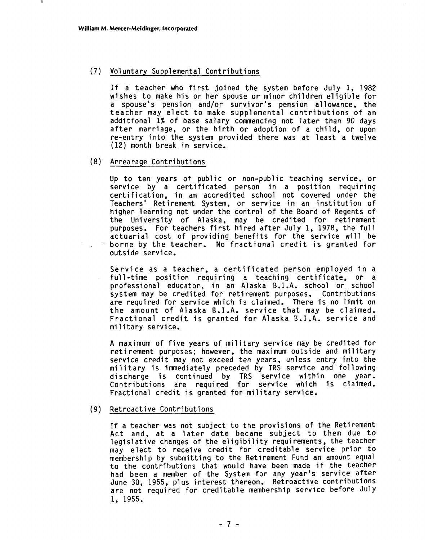### (7) Voluntary Supplemental Contributions

If a teacher who first joined the system before July 1, 1982 wi shes to make his or her spouse or minor children eligible for a spouse's pension and/or survivor's pension a1 lowance, the teacher may elect to make supplemental contributions of an additional 1% of base salary commencing not later than 90 days after marriage, or the birth or adoption of a child, or upon re-entry into the system provided there was at least a twelve (12) month break in service.

#### (8) Arrearage Contributions

 $\mathcal{A}^{\pm}$ 

Up to ten years of public or non-public teaching service, or service by a certificated person in a position requiring certification, in an accredited school not covered under the Teachers' Retirement System, or service in an institution of higher learning not under the control of the Board of Regents of the University of Alaska, may be credited for retirement purposes. For teachers first hired after July 1, 1978, the full actuarial cost of providing benefits for the service will be borne by the teacher. No fractional credit is granted for outside service.

Service as a teacher, a certificated person employed in a full-time position requiring a teaching certificate, or a professional educator, in an Alaska B.I.A. school or school system may be credited for retirement purposes. Contributions are required for service which is claimed. There is no limit on the amount of Alaska B.I.A. service that may be claimed. ene amount of Araska BillA. Service onde may be crathed.<br>Fractional credit is granted for Alaska B.I.A. service and<br>military service.

A maximum of five years of mi 1 i tary service may be credited for A maximum of five years of military service may be credited for<br>retirement purposes; however, the maximum outside and military service credit may not exceed ten years, unless entry into the military is immediately preceded by TRS service and following discharge is continued by TRS service within one year. contributions are required for service which is claimed.<br>Fractional credit is granted for military service.

#### (9) Retroactive Contributions

If a teacher was not subject to the provisions of the Retirement Act and, at a later date became subject to them due to legislative changes of the eligibility requirements, the teacher may elect to receive credit for creditable service prior to membership by submitting to the Retirement Fund an amount equal to the contributions that would have been made if the teacher had been a member of the System for any year's service after June 30, 1955, plus interest thereon. Retroactive contributions are not required for creditable membership service before July 1, 1955.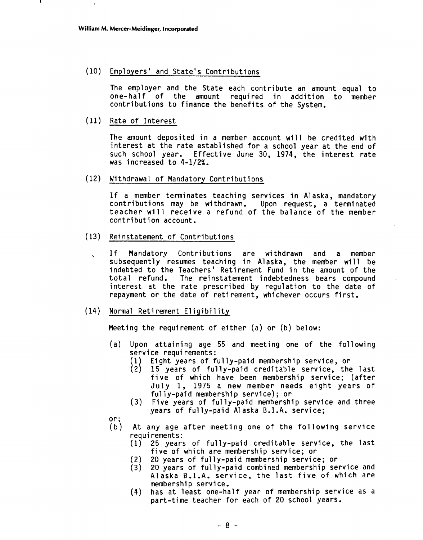(10) Employers' and State's Contributions

The employer and the State each contribute an amount equal to one-half of the amount required in addition to member contributions to finance the benefits of the System.

(11) Rate of Interest

The amount deposited in a member account will be credited with interest at the rate established for a school year at the end of such school year. Effective June 30, 1974, the interest rate was increased to  $4-1/2\%$ .

(12) Withdrawal of Mandatory Contributions

If a member terminates teaching services in Alaska, mandatory contributions may be withdrawn. Upon request, a terminated teacher will receive a refund of the balance of the member<br>contribution account.

- (13) Reinstatement of Contributions
	- ., If Mandatory Contributions are withdrawn and a member subsequently resumes teaching in Alaska, the member will be indebted to the Teachers' Retirement Fund in the amount of the total refund. The reinstatement indebtedness bears compound interest at the rate prescribed by regulation to the date of repayment or the date of retirement, whichever occurs first.
- (14) Normal Retirement Eligibility

Meeting the requirement of either (a) or (b) below:

- (a) Upon attaining age 55 and meeting one of the following service requi rements :
	- (1) Eight years of fully-paid membership service, or
	- 15 years of fully-paid creditable service, the last five of which have been membership service; (after July 1, 1975 a new member needs eight years of fully-paid membership service); or
	- (3) Five years of fully-paid membership service and three years of fully-paid Alaska B.I.A. service;
- or;
- (b) At any age after meeting one of the following service requi rements:
	- (1) 25 years of fully-paid creditable service, the last five of which are membership service; or
	- (2) 20 years of fully-paid membership service; or
	- (3) 20 years of fully-paid combined membership service and Alaska B.I.A. service, the last five of which are membership service.
	- (4) has at least one-half year of membership service as a part-time teacher for each of 20 school years.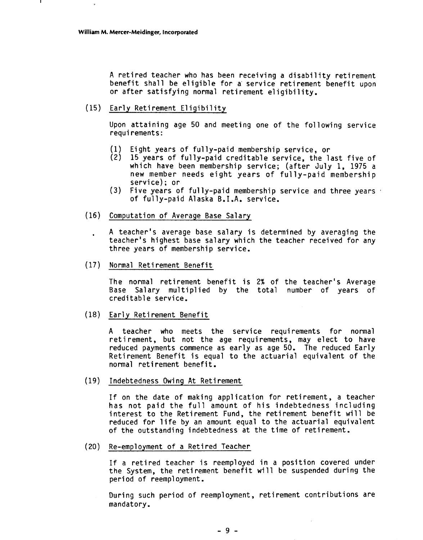A retired teacher who has been receiving a disability retirement benefit shall be eligible for a service retirement benefit upon or after satisfying normal retirement eligibility.

(15) Early Retirement El igibil ity

Upon attaining age 50 and meeting one of the following service requi rements :

- (1) Eight years of ful ly-paid membership service, or
- (2) 15 years of fully-paid creditable service, the last five of which have been membership service; (after July 1, 1975 a new member needs eight years of fully-paid membership service) ; or
- **(3)** Five years of fully-paid membership service and three years , of fully-paid Alaska B.I.A. service.
- **(16)** Computation of Average Base Salary

. **A** teacher's average base salary is determined by averaging the teacher's highest base salary which the teacher received for any three years of membership service.

(17) Norma1 Reti rement Benefit

The normal retirement benefit is 2% of the teacher's Average Base Salary multiplied by the total number of years of creditable service.

(18) Early Reti rement Benefit

A teacher who meets the service requirements for normal retirement, but not the age requirements, may elect to have reduced payments commence as early as age 50. The reduced Early Retirement Benefit is equal to the actuarial equivalent of the

normal retirement benefit.<br>(19) Indebtedness Owing At Retirement

If on the date of making application for retirement, a teacher has not paid the full amount of his indebtedness including interest to the Retirement Fund, the retirement benefit will be reduced for life by an amount equal to the actuarial equivalent of the outstanding indebtedness at the time of retirement.

(20) Re-employment of a Retired Teacher

If a retired teacher is reemployed in a position covered under the System, the reti rement benefit will be suspended during the

period of reemployment.<br>During such period of reemployment, retirement contributions are mandatory.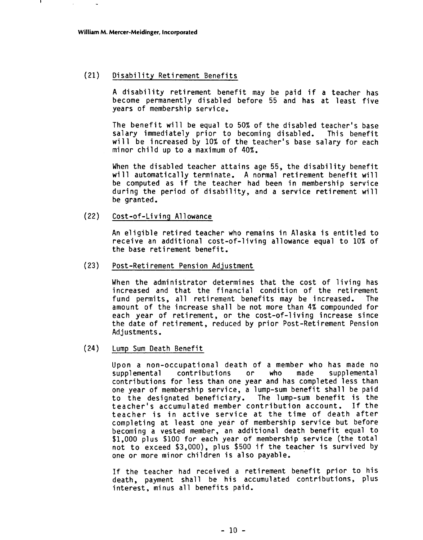#### (21) Disability Retirement Benefits

A disability retirement benefit may be paid if a teacher has become permanently disabled before 55 and has at least five years of membership service.

The benefit will be equal to 50% of the disabled teacher's base salary immediately prior to becoming disabled. This benefit will be increased by 10% of the teacher's base salary for each minor child up to a maximum of 40%.

When the disabled teacher attains age 55, the disability benefit will automatically terminate. A normal retirement benefit will be computed as if the teacher had been in membership service during the period of disability, and a service retirement will be granted.

(22) Cost-of-Living Allowance

An eligible retired teacher who remains in Alaska is entitled to receive an additional cost-of-living allowance equal to 10% of the base retirement benefit.

(23) Post -Ret i rement Pension Adjustment

When the administrator determines that the cost of living has increased and that the financial condition of the retirement fund permits, all retirement benefits may be increased. The amount of the increase shall be not more than 4% compounded for each year of retirement, or the cost-of-living increase since the date of retirement, reduced by prior Post-Retirement Pension Adjustments.

(24) Lump Sum Death Benefit

Upon a non-occupational death of a member who has made no supplemental contributions or who made supplemental contributions for less than one year and has completed less than one year of membership service, a lump-sum benefit shall be paid to the designated beneficiary. The lump-sum benefit is the teacher's accumulated member contribution account. If the teacher is in active service at the time of death after completing at least one year of membership service but before becoming a vested member, an additional death benefit equal to \$1,000 plus \$100 for each year of membership service (the total not to exceed \$3,000), plus \$500 if the teacher is survived by one or more minor children is a1 so payable.

If the teacher had received a retirement benefit prior to his death, payment shall be his accumulated contributions, plus<br>interest, minus all benefits paid.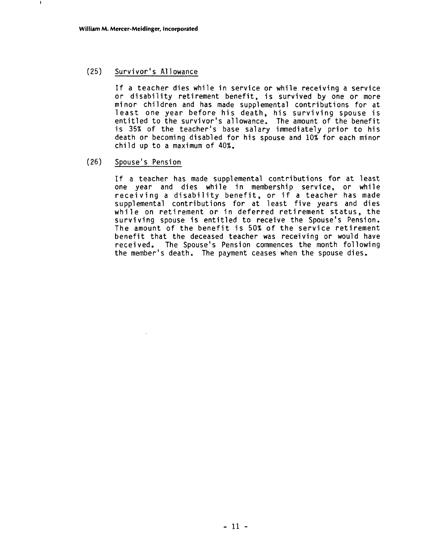$\mathbf{r}$ 

### (25) Survivor ' s A1 **1** owance

If a teacher dies while in service or while receiving a service or disability retirement benefit, is survived by one or more mi nor children and has made supplemental contributions for at least one year before his death, his surviving spouse is entitled to the survivor's allowance. The amount of the benefit is 35% of the teacher's base salary immediately prior to his death or becoming disabled for his spouse and 10% for each minor child up to a maximum of 40%.

### (26) Spouse' s Pension

If a teacher has made supplemental contributions for at least one year and dies while in membership service, or while receiving a disability benefit, or if a teacher has made supplemental contributions for at least five years and dies while on retirement or in deferred retirement status, the surviving spouse is entitled to receive the Spouse's Pension. The amount of the benefit is 50% of the service retirement benefit that the deceased teacher was receiving or would have recei ved. The Spouse's Pension commences the month following the member's death. The payment ceases when the spouse dies.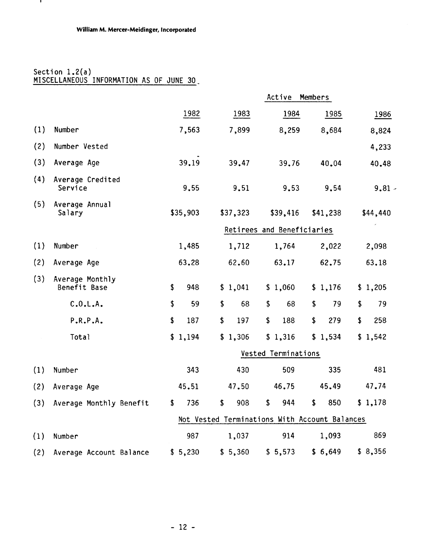### Section 1.2(a) MISCELLANEOUS INFORMATION AS OF JUNE 30-

 $\mathbf{r}$ 

|     | Section $1.2(a)$<br>MISCELLANEOUS INFORMATION AS OF JUNE 30 |                      |                                               |                            |                      |           |
|-----|-------------------------------------------------------------|----------------------|-----------------------------------------------|----------------------------|----------------------|-----------|
|     |                                                             |                      |                                               | Active                     | Members              |           |
|     |                                                             | 1982                 | 1983                                          | 1984                       | 1985                 | 1986      |
| (1) | Number                                                      | 7,563                | 7,899                                         | 8,259                      | 8,684                | 8,824     |
| (2) | Number Vested                                               |                      |                                               |                            |                      | 4,233     |
| (3) | Average Age                                                 | 39.19                | 39.47                                         | 39.76                      | 40.04                | 40.48     |
| (4) | Average Credited<br>Service                                 | 9,55                 | 9.51                                          | 9.53                       | 9.54                 | $9.81 -$  |
| (5) | Average Annual<br>Salary                                    | \$35,903             | \$37,323                                      | \$39,416                   | \$41,238             | \$44,440  |
|     |                                                             |                      |                                               | Retirees and Beneficiaries |                      |           |
| (1) | Number                                                      | 1,485                | 1,712                                         | 1,764                      | 2,022                | 2,098     |
| (2) | Average Age                                                 | 63.28                | 62.60                                         | 63.17                      | 62.75                | 63.18     |
| (3) | Average Monthly<br>Benefit Base                             | \$<br>948            | \$1,041                                       | \$1,060                    | \$1,176              | \$1,205   |
|     | C.0.L.A.                                                    | \$<br>59             | \$<br>68                                      | \$<br>68                   | \$<br>79             | \$<br>79  |
|     | P.R.P.A.                                                    | \$<br>187            | \$<br>197                                     | \$<br>188                  | \$<br>279            | \$<br>258 |
|     | Total                                                       | \$1,194              | \$1,306                                       | \$1,316                    | \$1,534              | \$1,542   |
|     |                                                             |                      |                                               | Vested Terminations        |                      |           |
| (1) | Number                                                      | 343                  | 430                                           | 509                        | 335                  | 481       |
| (2) | Average Age                                                 | 45.51                | 47.50                                         | 46.75                      | 45.49                | 47.74     |
| (3) | Average Monthly Benefit                                     | 736<br>$\frac{1}{2}$ | $\mathsf{S}$<br>908                           | \$<br>944                  | $\frac{1}{2}$<br>850 | \$1,178   |
|     |                                                             |                      | Not Vested Terminations With Account Balances |                            |                      |           |
| (1) | Number                                                      | 987                  | 1,037                                         | 914                        | 1,093                | 869       |
| (2) | Average Account Balance                                     | \$5,230              | \$5,360                                       | \$5,573                    | \$6,649              | \$8,356   |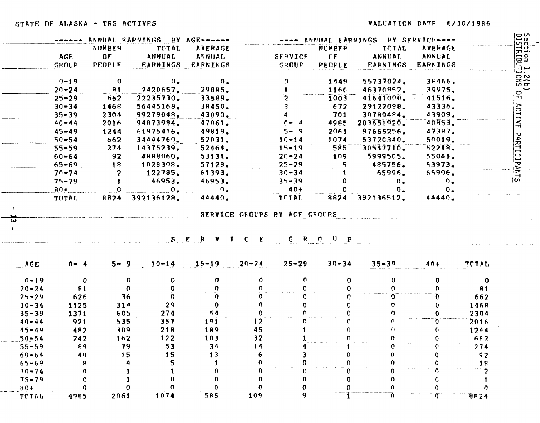|                |           |                | ------ ANNUAL EARNINGS BY AGE------ |                 |                        |               | ---- ANNUAL EARNINGS BY SERVICE---- |                 |              |
|----------------|-----------|----------------|-------------------------------------|-----------------|------------------------|---------------|-------------------------------------|-----------------|--------------|
|                |           | NUMBER         | TOTAL                               | <b>AVERAGE</b>  |                        | NUMBER        | TOTAL                               | <b>AVERAGE</b>  |              |
|                | AGE.      | 0F             | <b>ANNUAL</b>                       | ANNUAL          | <b>SFRVICE</b>         | CF            | ANNUAL                              | ANNUAL          |              |
|                | GROUP     | <b>PEOPLE</b>  | <b>EARNINGS</b>                     | <b>EARNINGS</b> | GROUP.                 | <b>PEOPLE</b> | <b>EARNINGS</b>                     | <b>EARNINGS</b> |              |
|                | $0 - 19$  | $\mathbf{0}$   | $\mathbf{0}$ .                      | $0_{\bullet}$   | O.                     | 1449          | 55737024.                           | 38466.          |              |
|                | $20 - 24$ | R <sub>1</sub> | 2420657.                            | 29885.          |                        | 1160          | 46370852.                           | 39975.          |              |
|                | $25 - 29$ | 662            | 22235730.                           | 33589.          | 2.                     | 1003          | 41641000.                           | 41516.          |              |
|                | $30 - 34$ | 1468           | 56445168.                           | 38450.          | 3                      | $-672$        | 29122098.                           | 43336.          |              |
|                | $35 - 39$ | 2304           | 99279048.                           | 43090.          |                        | 701           | 30780484.                           | 43909.          |              |
|                | $40 - 44$ | 2016           | 94873984.                           | 47061.          | $0 - 4$                | 4985          | 203651920.                          | 40853.          |              |
|                | $45 - 49$ | 1244           | 61975416.                           | 49819.          | $5 - 9$                | 2061          | 97665256.                           | 47387.          |              |
|                | $50 - 54$ | 662            | 34444760                            | 52031.          | $10 - 14$              | 1074          | 53720340.                           | 50019.          |              |
|                | $55 - 59$ | 274            | 14375239.                           | 52464.          | $15 - 19$              | 585           | 30547710.                           | 52218.          |              |
|                | $60 - 64$ | $-92$          | 4888060.                            | 53131.          | $20 - 24$              | 109           | 5999505.                            | 55041.          |              |
|                | $65 - 69$ | $18 -$         | 1028308.                            | 57128.          | $25 - 29$              | 9.            | 485756.                             | 53973.          |              |
|                | $70 - 74$ | $\mathbf{2}$   | 122785.                             | 61393.          | $30 - 34$              |               | 65996.                              | 65996.          |              |
|                | $75 - 79$ | $\mathbf{1}$   | 46953.                              | 46953.          | $35 - 39$              | 0             | $0_{\bullet}$                       | $^{\circ}$ .    |              |
|                | $80+$     |                | $\mathbf{0}$ .                      | $\mathbf{0}$ .  | $-40+$                 |               | $0 -$                               | $\mathbf{0}$ .  |              |
|                | TOTAL     | 8824           | 392136128.                          | 44440.          | TOTAL                  | 8824          | 392136512.                          | 44440.          |              |
|                |           |                |                                     |                 |                        |               |                                     |                 |              |
|                |           |                |                                     |                 | SERVICE GROUP          |               |                                     |                 |              |
| <b>AGE</b>     | $0 - 4$   | $5 - 9$        | $10 - 14$                           | $15 - 19$       | $20 - 24$<br>$25 - 29$ | $30 - 34$     | $35 - 39$                           | $40+$           | TUTAL        |
| $0 - 19$       | 0         |                | $\Omega$<br>0                       | 0               | 0                      | 0<br>0        | $\mathbf{0}$                        | $\mathbf 0$     | $\mathbf{O}$ |
| $20 - 24$      | 81        |                | $\mathbf{0}$<br>$\mathbf 0$         | 0               |                        |               | $\Omega$                            | $\Omega$        | 81           |
| $25 - 29$      | 626       |                | 36<br>$\mathbf 0$                   | 0               |                        |               | 0.                                  | 0.              | 662          |
| $30 - 34$      | 1125      | 314            | 29                                  | $\mathbf 0$     |                        |               | $\Omega$                            | 0               | 1468         |
| $35 - 39$      | 1371      | 605            | 274                                 | 54              |                        | n.<br>U.      | $\Omega$                            | $\mathbf 0$     | 2304         |
| $40 - 44$      | 921       | 535            | 357                                 | 191             | 12                     | O.<br>C.      | O.                                  | 0               | 2016         |
| $45 - 49$      | 482       | 309            | 21B                                 | 189             | 45                     | 0             | 4                                   | $\mathbf 0$     | 1244         |
| $50 - 54$      | 242       | 162            | 122                                 | 103             | 32                     | n.            | $\mathbf{r}$                        | n.              | 662          |
| $55 - 59$      | 89        |                | 53<br>79                            | 34              | 14                     |               |                                     |                 | 274          |
| $60 - 64$      | 40        |                | 15<br>15                            | 13              |                        |               |                                     |                 | 92           |
| $65 - 69$      | 8         |                |                                     |                 |                        |               |                                     |                 | 18           |
| $70 - 74$      | o         |                |                                     | 0               |                        | 0.            |                                     |                 |              |
| $75 - 79$      |           |                |                                     |                 |                        |               |                                     |                 |              |
| $80+$<br>TOTAL | 4985      | 2061           | 1074                                | 0<br>585        | 109                    | 9.            | 0                                   | $\mathbf{0}$    | 8824         |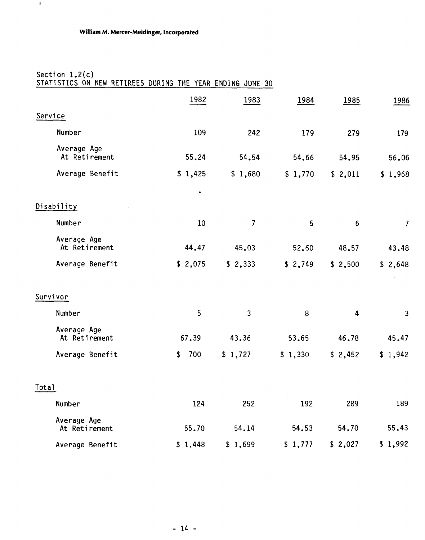### Section 1.2(c) STATISTICS ON NEW RETIREES DURING THE YEAR ENDING JUNE 30

|                              | 1982           | 1983           | 1984    | 1985    | 1986           |
|------------------------------|----------------|----------------|---------|---------|----------------|
| Service                      |                |                |         |         |                |
| Number                       | 109            | 242            | 179     | 279     | 179            |
| Average Age<br>At Retirement | 55.24          | 54.54          | 54.66   | 54.95   | 56.06          |
| Average Benefit              | \$1,425        | \$1,680        | \$1,770 | \$2,011 | \$1,968        |
|                              | $\blacksquare$ |                |         |         |                |
| Disability                   |                |                |         |         |                |
| Number                       | 10             | $\overline{7}$ | 5       | 6       | $\overline{7}$ |
| Average Age<br>At Retirement | 44.47          | 45.03          | 52.60   | 48.57   | 43.48          |
| Average Benefit              | \$2,075        | \$2,333        | \$2,749 | \$2,500 | \$2,648        |
| Survivor                     |                |                |         |         |                |
| Number                       | 5              | 3              | 8       | 4       | $\mathbf{3}$   |
| Average Age<br>At Retirement | 67.39          | 43.36          | 53.65   | 46.78   | 45.47          |
| Average Benefit              | 700<br>\$      | \$1,727        | \$1,330 | \$2,452 | \$1,942        |
| Total                        |                |                |         |         |                |
| Number                       | 124            | 252            | 192     | 289     | 189            |
| Average Age<br>At Retirement | 55.70          | 54.14          | 54.53   | 54.70   | 55.43          |
| Average Benefit              | \$1,448        | \$1,699        | \$1,777 | \$2,027 | \$1,992        |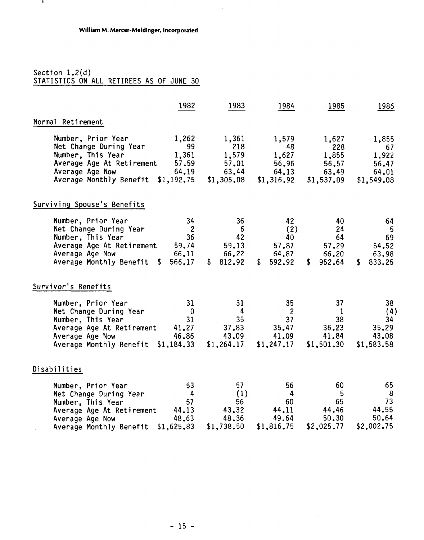#### Section 1.2(d) STATISTICS ON ALL RETIREES AS OF JUNE 30

 $\mathbf{L}$ 

|                                                                                                                                                                                                                     | 1982<br>1983                                                                                                           | 1984                                                                                          | 1985                                                  | 1986                                                 |
|---------------------------------------------------------------------------------------------------------------------------------------------------------------------------------------------------------------------|------------------------------------------------------------------------------------------------------------------------|-----------------------------------------------------------------------------------------------|-------------------------------------------------------|------------------------------------------------------|
| Normal Retirement                                                                                                                                                                                                   |                                                                                                                        |                                                                                               |                                                       |                                                      |
| Number, Prior Year<br>Net Change During Year<br>- 99<br>Number, This Year<br>Average Age At Retirement 57.59 57.01<br>Average Age Now 64.19 63.44 64.13<br>Average Monthly Benefit \$1,192.75 \$1,305.08 \$1,316.92 | 1,262<br>1,361<br>218<br>$1,361$ $1,579$                                                                               | 1,579<br>48<br>1,627<br>56.96                                                                 | 1,627<br>228<br>1,855<br>56,57<br>63.49<br>\$1,537.09 | 1,855<br>67<br>1,922<br>56.47<br>64.01<br>\$1,549.08 |
| Surviving Spouse's Benefits                                                                                                                                                                                         |                                                                                                                        |                                                                                               |                                                       |                                                      |
| Number, Prior Year<br>Net Change During Year<br>Number, This Year<br>Average Age At Retirement 59.74<br>66.11<br>Average Age Now<br>Average Monthly Benefit \$ 566.17                                               | 34<br>36 <sup>°</sup><br>$\overline{\mathbf{c}}$<br>$6^{\circ}$<br>36 <sup>2</sup><br>42<br>59.13<br>66.22<br>\$812.92 | 42<br>(2)<br>40<br>57.87<br>64.87<br>\$592.92                                                 | 40<br>24<br>64<br>57.29<br>66.20<br>\$952.64          | 64<br>-5<br>69<br>54.52<br>63.98<br>\$833.25         |
| Survivor's Benefits                                                                                                                                                                                                 |                                                                                                                        |                                                                                               |                                                       |                                                      |
| Number, Prior Year<br>Net Change During Year<br>Number, This Year<br>Average Age At Retirement 41.27<br>46.86<br>Average Age Now<br>Average Monthly Benefit \$1,184.33 \$1,264.17                                   | 31<br>31<br>$\overline{\phantom{0}}$<br>$\overline{4}$<br>35<br>31<br>37.83<br>43.09                                   | 35 <sub>2</sub><br>$\overline{\mathbf{c}}$<br>37 <sup>2</sup><br>35.47<br>41.09<br>\$1,247.17 | 37<br>-1<br>38<br>36,23<br>41.84<br>\$1,501.30        | 38<br>(4)<br>34<br>35.29<br>43.08<br>\$1,583.58      |
| Disabilities                                                                                                                                                                                                        |                                                                                                                        |                                                                                               |                                                       |                                                      |
| Number, Prior Year<br>Net Change During Year<br>Number, This Year<br>Number, This Year<br>Average Age At Retirement 44.13<br>Average Age Now 48.63 48.36 49.64<br>Average Monthly Benefit \$1,625.83 \$1,738.50     | 53<br>57<br>(1)<br>$\overline{4}$<br>57<br>56                                                                          | 56<br>$\overline{4}$<br>60<br>43.32 44.11<br>$$1,816.75$ $$2,025.77$                          | 60<br>5 <sub>5</sub><br>65<br>44.46<br>50.30          | 65<br>8<br>73<br>44.55<br>50.64<br>\$2,002.75        |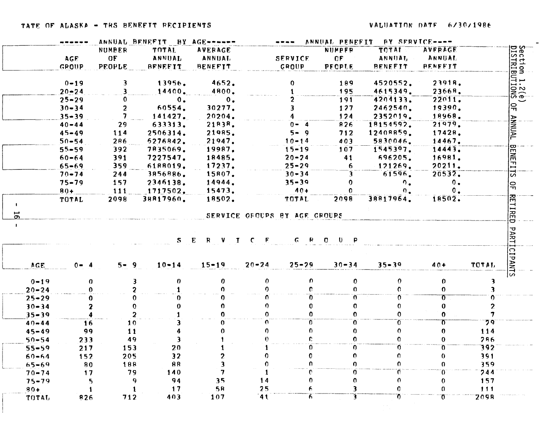|                |              |               | ANNUAL BENEFIT BY AGE------ |                |              |                               |                              | ANNUAL PENEFIT BY SERVICE---- |                          |             |
|----------------|--------------|---------------|-----------------------------|----------------|--------------|-------------------------------|------------------------------|-------------------------------|--------------------------|-------------|
|                |              | <b>NUMBER</b> | TOTAL                       | <b>AVERAGE</b> |              |                               | <b>NUMPFR</b>                | <b>TOTAL</b>                  | <b>AVERAGE</b>           |             |
|                | <b>AGE</b>   | OF            | ANNUAL                      | <b>ANNUAL</b>  |              | <b>SERVICE</b>                | OF                           | ANNUAT,                       | <b>ANNUAL</b>            |             |
|                | <b>GROUP</b> | PEOPLE        | <b>BENEFIT</b>              | <b>BENEFIT</b> |              | GROUP                         | <b>PECPLE</b>                | <b>BENEFIT</b>                | <b>BENEFIT</b>           |             |
|                | $0 - 19$     | 3             | 13956.                      | 4652.          |              | 0                             | 189                          | 4520552.                      | 23918.                   |             |
|                | $20 - 24$    |               | 14400.                      | 4800.          |              |                               | 195                          | 4615349.                      | 23668.                   |             |
|                | $25 - 29$    | 0.            | $0_{\bullet}$               | $0_{\bullet}$  |              |                               | 191                          | 4204133.                      | 22011.                   |             |
|                | $30 - 34$    | 2.            | 60554.                      | 30277.         |              |                               | 127                          | 2462540.                      | 19390.                   |             |
|                | $35 - 39$    |               | 141427.                     | 20204.         |              |                               | 124                          | 2352019.                      | 18968.                   |             |
|                | $40 - 44$    | 29            | 633313.                     | 21838.         |              | $0 - 4$                       | 826                          | 18154592.                     | 21979.                   |             |
|                | $45 - 49$    | 114           | 2506314.                    | 21985.         |              | $5 - 9$                       | 712                          | 12408859.                     | 17428.                   |             |
|                | $50 - 54$    | 286           | 5276842.                    | 21947.         |              | $10 - 14$                     | 403                          | 5830046.                      | 14467.                   |             |
|                | $55 - 59$    | 392           | 7835069.                    | 19987.         |              | $15 - 19$                     | 107                          | 1545397.                      | 14443.                   |             |
|                | $60 - 64$    | 391           | 7227547.                    | 18485.         |              | $20 - 24$                     | 41                           | 696205.                       | 16981.                   |             |
|                | $65 - 69$    | 359           | 6188019.                    | 17237.         |              | $25 - 29$                     | 6                            | $-121269.$                    | 20211.                   |             |
|                | $70 - 74$    | 244           | 3856886.                    | 15807.         |              | $30 - 34$                     | 3                            | 61596.                        | 20532.                   |             |
|                | $75 - 79$    | 157           | 2346138.                    | 14944.         |              | $35 - 39$                     | 0                            | $^{\circ}$ .                  | $\mathbf{0}$ .           |             |
|                | $80 +$       | 111           | 1717502.                    | 15473.         |              | $40+$                         |                              | $^{\circ}$ .                  | $\mathbf{0}$ .           |             |
|                | TOTAL        | 2098          | 38817960.                   | 18502.         |              | TOTAL                         | 2098                         | 38817964.                     | 18502.                   |             |
| $\overline{5}$ |              |               |                             |                |              | SERVICE OFFUERS BY AGE GROUPS |                              |                               |                          |             |
|                |              |               |                             |                |              |                               |                              |                               |                          |             |
|                |              |               |                             | S E R V I      | $C - E$      |                               | $G$ $R$ $C$ $U$ $P$          |                               |                          |             |
|                |              |               |                             |                |              |                               |                              |                               |                          |             |
| AGE.           | $0 - 4$      | $5 - 9$       | $10 - 14$                   | $15 - 19$      | $20 - 24$    | $25 - 29$                     | $30 - 34$                    | $35 - 39$                     | $40+$                    | TOTAL.      |
| $0 - 19$       | 0            |               | $\mathbf{v}$                | 0              | 0            | O.                            | 0                            | $\mathbf{0}$                  | $\mathbf{0}$             |             |
| $20 - 24$      | 0            |               |                             |                | <sup>o</sup> | n.                            | $\Omega$                     | O.                            | $\mathbf{0}$             |             |
| $25 - 29$      | 0            |               |                             |                |              | 0                             | $\overline{0}$               | $\Omega$                      | $\sigma$                 |             |
| $30 - 34$      | 2            |               |                             |                |              |                               | $\Omega$                     | $\mathbf{0}$                  | 0                        |             |
| $35 - 39$      |              |               | $\overline{2}$              |                |              |                               | O.                           | $\Omega$                      | $\mathbf{0}$             |             |
| $40 - 44$      | 16           | 10            |                             |                | n.           | O.                            | 0                            | $\overline{0}$                | π                        | 79          |
| $45 - 49$      | 99           | 11            |                             |                | O.           |                               | 0                            | 0                             | $\mathbf{0}$             | 114         |
| $50 - 54$      | 233          | 49            |                             |                | $\bullet$    | C.                            | 0                            | $\Omega$                      | 0                        | 286         |
| $55 - 59$      | 217          | 153           | 20                          |                |              | $\Omega$                      | 0                            | 0                             | $\Omega$                 | 392         |
| $60 - 64$      | 152          | 205           | 32                          | 2              | 0            | $\mathbf 0$                   | $\mathbf{0}$                 | $\Omega$                      | $\theta$                 | 391         |
| $65 - 69$      | 80           | 188           | 88                          | 3              | $\Omega$     | $\Omega$                      | $\Omega$                     | 0                             | $\Omega$                 | 359         |
| $70 - 74$      | $17$         | 79            | 140                         | 7              |              | e                             | 0                            | Ō                             | Ō                        | 744         |
| $75 - 79$      | 5            |               | 94<br>9                     | 35             | 14           | $\mathbf{0}$                  | $\mathbf{0}$                 | $\mathbf{0}$                  | $\mathbf{0}$             | 157         |
| $80+$          | 1<br>826     | 712           | 17<br>403                   | 5R<br>107      | 25<br>41     | 6.                            | 3<br>$\overline{\mathbf{3}}$ | 0<br>$\overline{0}$           | $\mathbf{0}$<br>$\sigma$ | 111<br>2098 |
| TOTAL          |              |               |                             |                |              | $\overline{6}$                |                              |                               |                          |             |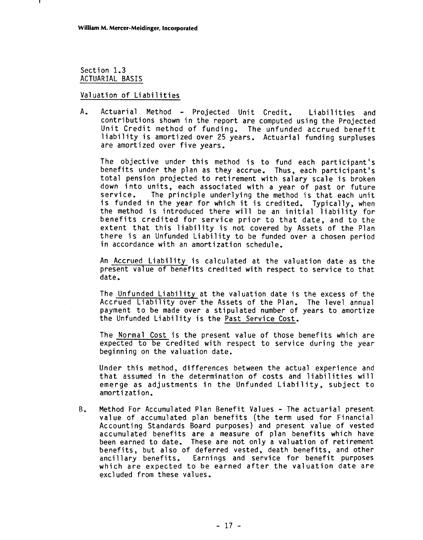Section 1.3 ACTUARIAL BASIS

#### Valuation of Liabilities

A. Actuarial Method - Projected Unit Credit. Liabilities and contributions shown in the report are computed using the Projected Unit Credit method of funding. The unfunded accrued benefit Unit Credit method of funding. The unfunded accrued benefit<br>liability is amortized over 25 years. Actuarial funding surpluses are amortized over the amortized over 25<br>are amortized over five years.

The objective under this method is to fund each participant's benefits under the plan as they accrue. Thus, each participant's total pension projected to retirement with salary scale is broken down into units, each associated with a year of past or future service. The principle underlying the method is that each unit is funded in the year for which it is credited. Typically, when the method is introduced there will be an initial liability for benefits credited for service prior to that date, and to the extent that this liability is not covered by Assets of the Plan existive since only industring is not coverted by Assets of the finant<br>there is an Unfunded Liability to be funded over a chosen period<br>in accordance with an amortization schedule.

An Accrued Liability is calculated at the valuation date as the present value of benefits credited with respect to service to that date.

The Unfunded Liability at the valuation date is the excess of the Accrued Liability over the Assets of the Plan. The level annual payment to be made over a stipulated number of years to amortize the Unfunded Liability is the Past Service Cost.

The Normal Cost is the present value of those benefits which are expected to be credited with respect to service during the year beginning on the valuation date.

Under this method, differences between the actual experience and that assumed in the determination of costs and liabilities will emerge as adjustments in the Unfunded Liability, subject to amortization.

**B.** Method For Accumulated Plan Benefit Values - The actuarial present value of accumulated plan benefits (the term used for Financial Accounting Standards Board purposes) and present value of vested accumulated benefits are a measure of plan benefits which have been earned to date. These are not only a valuation of retirement benefits, but also of deferred vested, death benefits, and other ancillary benefits. Earnings and service for benefit purposes which are expected to be earned after the valuation date are<br>excluded from these values.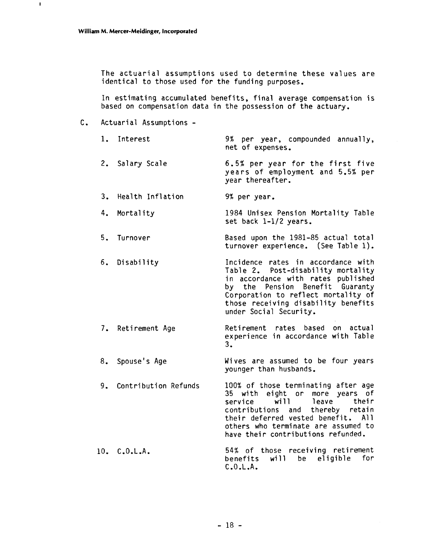The actuarial assumptions used to determine these values are identical to those used for the funding purposes.

In estimating accumulated benefits, final average compensation is based on compensation data in the possession of the actuary.

C. Actuarial Assumptions -

| 1. Interest             | 9% per year, compounded annually,<br>net of expenses.                                                                                                                                                                                                          |
|-------------------------|----------------------------------------------------------------------------------------------------------------------------------------------------------------------------------------------------------------------------------------------------------------|
| 2. Salary Scale         | 6.5% per year for the first five<br>years of employment and 5.5% per<br>year thereafter.                                                                                                                                                                       |
| 3. Health Inflation     | 9% per year.                                                                                                                                                                                                                                                   |
| 4. Mortality            | 1984 Unisex Pension Mortality Table<br>set back 1-1/2 years.                                                                                                                                                                                                   |
| 5. Turnover             | Based upon the 1981-85 actual total<br>turnover experience. (See Table 1).                                                                                                                                                                                     |
| 6. Disability           | Incidence rates in accordance with<br>Table 2. Post-disability mortality<br>in accordance with rates published<br>by the Pension Benefit Guaranty<br>Corporation to reflect mortality of<br>those receiving disability benefits<br>under Social Security.      |
| 7. Retirement Age       | Retirement rates based on actual<br>experience in accordance with Table<br>3.                                                                                                                                                                                  |
| 8. Spouse's Age         | Wives are assumed to be four years<br>younger than husbands.                                                                                                                                                                                                   |
| 9. Contribution Refunds | 100% of those terminating after age<br>35 with eight or more years of<br>service will<br>leave<br>their<br>contributions and thereby retain<br>their deferred vested benefit. All<br>others who terminate are assumed to<br>have their contributions refunded. |
| 10. C.0.L.A.            | 54% of those receiving retirement<br>will be eligible for<br>benefits<br>C.0.L.A.                                                                                                                                                                              |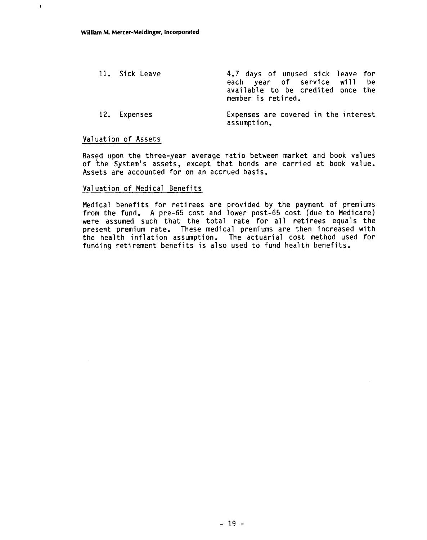11. Sick Leave 12. Expenses 4.7 days of unused sick leave for each year of service will be available to be credited once the member is retired. Expenses are covered in the interest assumption.

#### Valuation of Assets

Based upon the three-year average ratio between market and book values of the System's assets, except that bonds are carried at book value. Assets are accounted for on an accrued basis.

#### Val uation of Medical Benefits

Medical benefits for retirees are provided by the payment of premiums from the fund. A pre-65 cost and lower post-65 cost (due to Medicare) were assumed such that the total rate for all retirees equals the present premium rate. These medical premiums are then increased with the health inflation assumption. The actuarial cost method used for funding retirement benefits is also used to fund health benefits.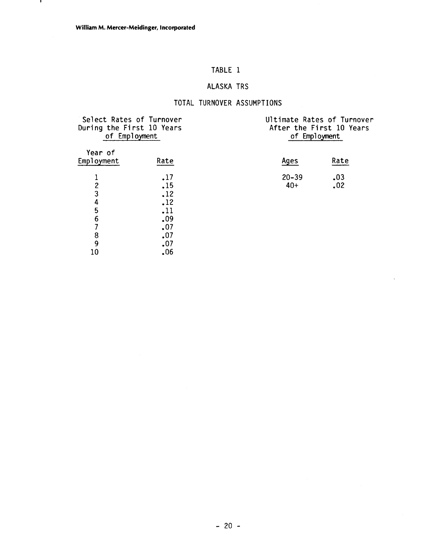# TABLE 1

# ALASKA TRS

### TOTAL TURNOVER ASSUMPTIONS

| During the First 10 Years     | Select Rates of Turnover<br>of Employment | Ultimate Rates of Turnover<br>After the First 10 Years<br>of Employment |            |  |  |  |
|-------------------------------|-------------------------------------------|-------------------------------------------------------------------------|------------|--|--|--|
| Year of<br>Employment         | Rate                                      | Ages                                                                    | Rate       |  |  |  |
| 1<br>$\overline{c}$<br>3<br>4 | $\cdot$ 17<br>.15<br>.12<br>.12           | $20 - 39$<br>$40+$                                                      | .03<br>.02 |  |  |  |
| 5<br>6                        | .11<br>.09                                |                                                                         |            |  |  |  |
| 7<br>8                        | .07<br>.07                                |                                                                         |            |  |  |  |
| 9<br>10                       | .07<br>.06                                |                                                                         |            |  |  |  |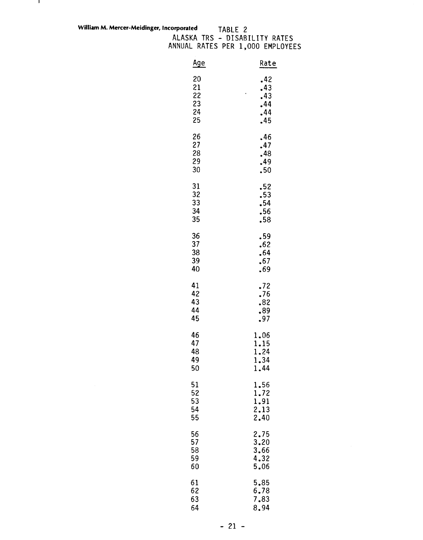**William M. Mercer-Meidinger, Incorporated** 

 $\mathbf{L}$ 

ALASKA TRS - DISABILITY RATES ANNUAL RATES PER 1,000 EMPLOYEES TY RATES<br>EMPLOYEES<br>Rate<br>42

| <u>Age</u>                 | Rate                            |
|----------------------------|---------------------------------|
| 20                         | .42                             |
| 21                         | .43                             |
| 22                         | .43                             |
| 23                         | .44                             |
| 24                         | .44                             |
| 25                         | .45                             |
| 26                         | .46                             |
| 27                         | .47                             |
| 28                         | .48                             |
| 29                         | 49ء                             |
| 30                         | $\cdot$ 50                      |
| 31<br>32<br>33<br>34<br>35 | .52<br>.53<br>.54<br>.56<br>.58 |
| 36                         | 59ء                             |
| 37                         | .62                             |
| 38                         | .64                             |
| 39                         | .67                             |
| 40                         | .69                             |
| 41                         | .72                             |
| 42                         | .76                             |
| 43                         | .82                             |
| 44                         | .89                             |
| 45                         | .97                             |
| 46                         | 1,06                            |
| 47                         | 1.15                            |
| 48                         | 1.24                            |
| 49                         | 1.34                            |
| 50                         | 1.44                            |
| 51                         | 1.56                            |
| 52                         | 1.72                            |
| 53                         | 1.91                            |
| 54                         | 2.13                            |
| 55                         | 2.40                            |
| 56                         | 2.75                            |
| 57                         | $\overline{3.20}$               |
| 58                         | 3.66                            |
| 59                         | 4.32                            |
| 60                         | 5.06                            |
| 61                         | 5.85                            |
| 62                         | 6.78                            |
| 63                         | 7.83                            |
| 64                         | 8.94                            |

 $-21 -$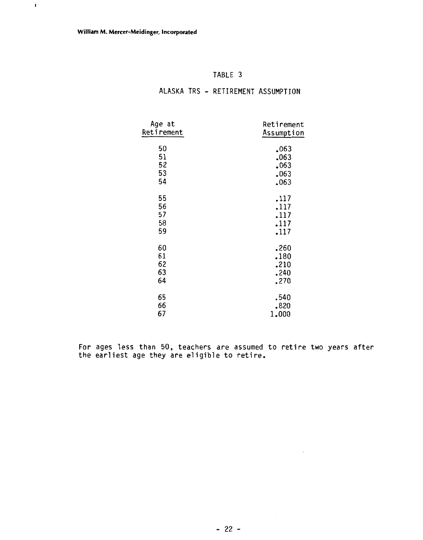$\mathbf{r}$ 

| TABLE |  |
|-------|--|
|-------|--|

### ALASKA TRS - RETIREMENT ASSUMPTION

| Age at     | Retirement |
|------------|------------|
| Retirement | Assumption |
|            |            |
| 50         | .063       |
| 51         | .063       |
| 52         | .063       |
| 53         | .063       |
| 54         | .063       |
|            |            |
| 55         | .117       |
| 56         | .117       |
| 57         | .117       |
| 58         | .117       |
| 59         | .117       |
|            |            |
| 60         | .260       |
| 61         | .180       |
| 62         | .210       |
| 63         | .240       |
| 64         | .270       |
|            |            |
| 65         | .540       |
| 66         | .820       |
| 67         | 1,000      |

For ages less than 50, teachers are assumed to retire two years after the earliest age they are eligible to retire.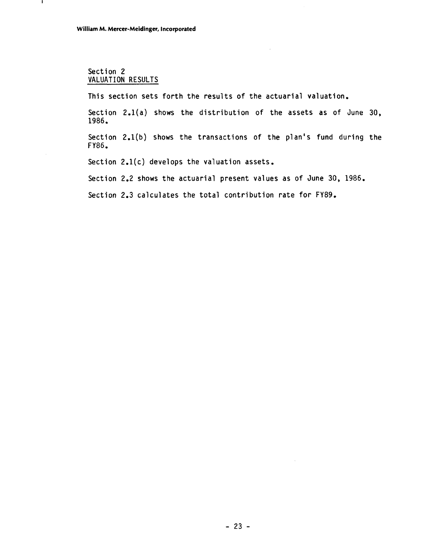#### Section 2 VALUATION RESULTS

- 1

This section sets forth the results of the actuarial valuation.

Section 2.l(a) shows the distribution of the assets as of June 30, 1986.

Section 2.l(b) shows the transactions of the plan's fund during the FY86,

Section 2.1(c) develops the valuation assets.

Section 2,2 shows the actuarial present values as of June 30, 1986.

Section 2.3 calculates the total contribution rate for FY89.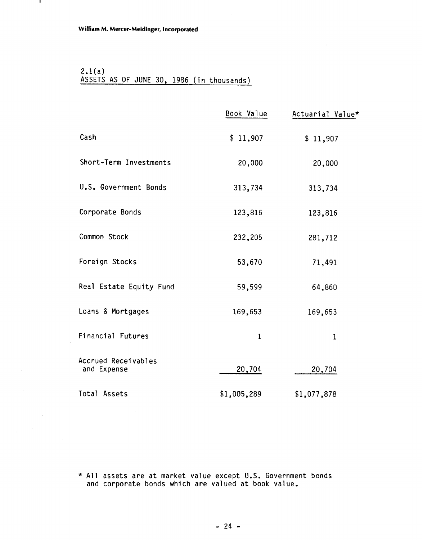- 1

 $\sim$ 

 $\sim 10^{11}$ 

### $2.1(a)$ ASSETS AS OF JUNE 30, 1986 (in thousands)

|                                    | Book Value   | Actuarial Value* |
|------------------------------------|--------------|------------------|
| Cash                               | \$11,907     | \$11,907         |
| Short-Term Investments             | 20,000       | 20,000           |
| U.S. Government Bonds              | 313,734      | 313,734          |
| Corporate Bonds                    | 123,816      | 123,816          |
| Common Stock                       | 232,205      | 281,712          |
| Foreign Stocks                     | 53,670       | 71,491           |
| Real Estate Equity Fund            | 59,599       | 64,860           |
| Loans & Mortgages                  | 169,653      | 169,653          |
| <b>Financial Futures</b>           | $\mathbf{1}$ | 1                |
| Accrued Receivables<br>and Expense | 20,704       | 20,704           |
| Total Assets                       | \$1,005,289  | \$1,077,878      |

\* All assets are at market value except U.S. Government bonds and corporate bonds which are valued at book value.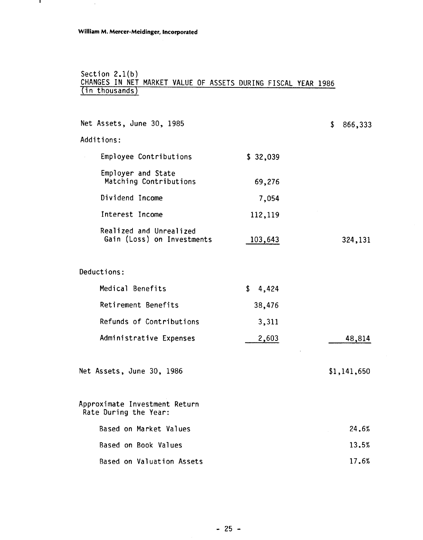$\ddot{\phantom{a}}$ 

 $\mathbf{I}$ 

#### Section 2.1(b) CHANGES IN NET MARKET VALUE OF ASSETS DURING FISCAL YEAR 1986 (in thousands)

| Net Assets, June 30, 1985                              |             | \$<br>866,333 |
|--------------------------------------------------------|-------------|---------------|
| Additions:                                             |             |               |
| Employee Contributions                                 | \$32,039    |               |
| Employer and State<br>Matching Contributions           | 69,276      |               |
| Dividend Income                                        | 7,054       |               |
| Interest Income                                        | 112,119     |               |
| Realized and Unrealized<br>Gain (Loss) on Investments  | 103,643     | 324,131       |
| Deductions:                                            |             |               |
| Medical Benefits                                       | \$<br>4,424 |               |
| Retirement Benefits                                    | 38,476      |               |
| Refunds of Contributions                               | 3,311       |               |
| Administrative Expenses                                | 2,603       | 48,814        |
| Net Assets, June 30, 1986                              |             | \$1,141,650   |
| Approximate Investment Return<br>Rate During the Year: |             |               |
| Based on Market Values                                 |             | 24.6%         |
| Based on Book Values                                   |             | 13.5%         |
| Based on Valuation Assets                              |             | 17.6%         |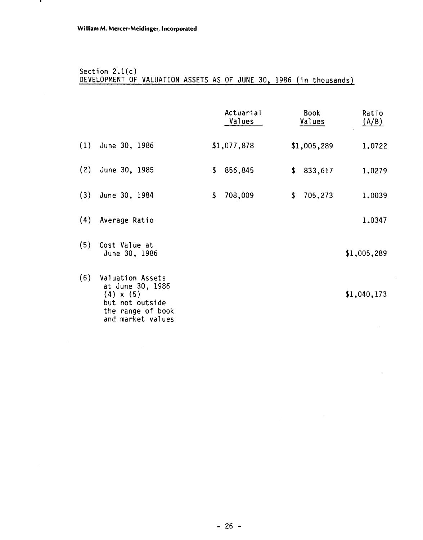л,

### Section 2,l(c) DEVELOPMENT OF VALUATION ASSETS AS OF JUNE 30, 1986 (in thousands)

|     |                                                                                                                       | Actuarial<br>Values | Book<br>Values | Ratio<br>(A/B) |        |
|-----|-----------------------------------------------------------------------------------------------------------------------|---------------------|----------------|----------------|--------|
|     | $(1)$ June 30, 1986                                                                                                   | \$1,077,878         | \$1,005,289    |                | 1.0722 |
| (2) | June 30, 1985                                                                                                         | \$<br>856,845       | \$<br>833,617  |                | 1.0279 |
|     | $(3)$ June 30, 1984                                                                                                   | \$<br>708,009       | \$<br>705,273  |                | 1.0039 |
| (4) | Average Ratio                                                                                                         |                     |                |                | 1.0347 |
| (5) | Cost Value at<br>June 30, 1986                                                                                        |                     |                | \$1,005,289    |        |
| (6) | Valuation Assets<br>at June 30, 1986<br>$(4) \times (5)$<br>but not outside<br>the range of book<br>and market values |                     |                | \$1,040,173    |        |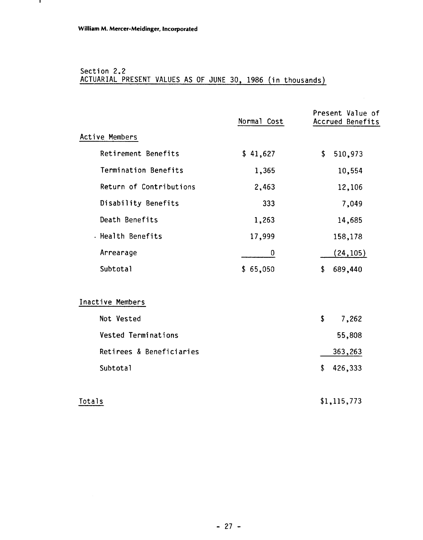### Section 2.2 ACTUARIAL PRESENT VALUES AS OF JUNE 30, 1986 (in thousands)

|                          | Normal Cost | Present Value of<br>Accrued Benefits |
|--------------------------|-------------|--------------------------------------|
| Active Members           |             |                                      |
| Retirement Benefits      | \$41,627    | \$<br>510,973                        |
| Termination Benefits     | 1,365       | 10,554                               |
| Return of Contributions  | 2,463       | 12,106                               |
| Disability Benefits      | 333         | 7,049                                |
| Death Benefits           | 1,263       | 14,685                               |
| . Health Benefits        | 17,999      | 158,178                              |
| Arrearage                | 0           | (24, 105)                            |
| Subtotal                 | \$65,050    | 689,440<br>\$                        |
|                          |             |                                      |
| Inactive Members         |             |                                      |
| Not Vested               |             | \$<br>7,262                          |
| Vested Terminations      |             | 55,808                               |
| Retirees & Beneficiaries |             | 363,263                              |
| Subtotal                 |             | \$<br>426,333                        |
|                          |             |                                      |
| Totals                   |             | \$1, 115, 773                        |